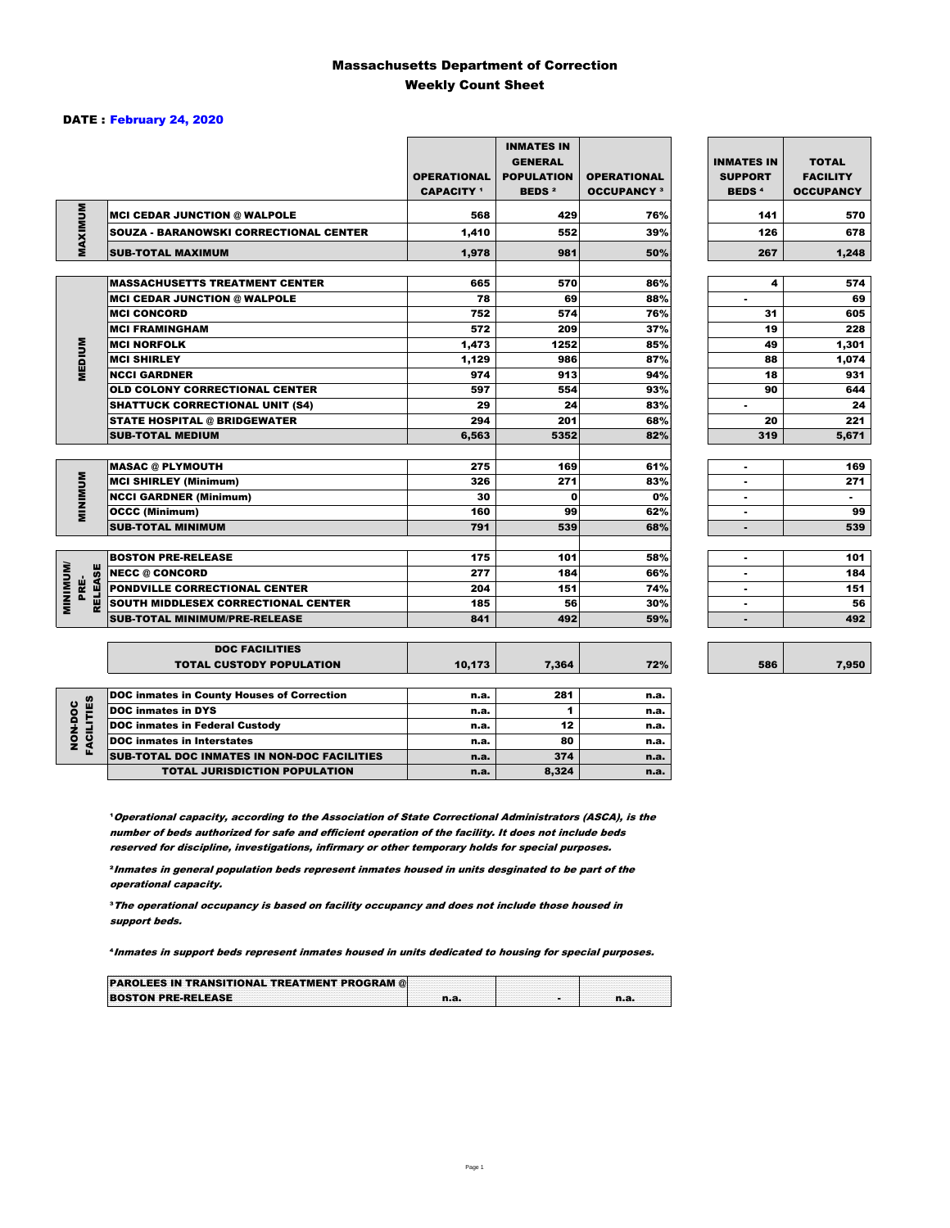### Massachusetts Department of Correction Weekly Count Sheet

### DATE : February 24, 2020

|                                   |                                                   | <b>OPERATIONAL</b><br><b>CAPACITY</b> <sup>1</sup> | <b>INMATES IN</b><br><b>GENERAL</b><br><b>POPULATION</b><br><b>BEDS<sup>2</sup></b> | <b>OPERATIONAL</b><br><b>OCCUPANCY 3</b> | <b>INMATES IN</b><br><b>SUPPORT</b><br><b>BEDS<sup>4</sup></b> | <b>TOTAL</b><br><b>FACILITY</b><br><b>OCCUPANCY</b> |
|-----------------------------------|---------------------------------------------------|----------------------------------------------------|-------------------------------------------------------------------------------------|------------------------------------------|----------------------------------------------------------------|-----------------------------------------------------|
| MAXIMUM                           | <b>MCI CEDAR JUNCTION @ WALPOLE</b>               | 568                                                | 429                                                                                 | 76%                                      | 141                                                            | 570                                                 |
|                                   | SOUZA - BARANOWSKI CORRECTIONAL CENTER            | 1,410                                              | 552                                                                                 | 39%                                      | 126                                                            | 678                                                 |
|                                   | <b>SUB-TOTAL MAXIMUM</b>                          | 1,978                                              | 981                                                                                 | 50%                                      | 267                                                            | 1,248                                               |
|                                   |                                                   |                                                    |                                                                                     |                                          |                                                                |                                                     |
|                                   | <b>MASSACHUSETTS TREATMENT CENTER</b>             | 665                                                | 570                                                                                 | 86%                                      | 4                                                              | 574                                                 |
|                                   | <b>MCI CEDAR JUNCTION @ WALPOLE</b>               | 78                                                 | 69                                                                                  | 88%                                      | ٠                                                              | 69                                                  |
|                                   | <b>MCI CONCORD</b>                                | 752                                                | 574                                                                                 | 76%                                      | 31                                                             | 605                                                 |
|                                   | <b>MCI FRAMINGHAM</b>                             | 572                                                | 209                                                                                 | 37%                                      | 19                                                             | 228                                                 |
| <b>MEDIUM</b>                     | <b>MCI NORFOLK</b>                                | 1,473                                              | 1252                                                                                | 85%                                      | 49                                                             | 1,301                                               |
|                                   | <b>MCI SHIRLEY</b>                                | 1,129                                              | 986                                                                                 | 87%                                      | 88                                                             | 1,074                                               |
|                                   | <b>NCCI GARDNER</b>                               | 974                                                | 913                                                                                 | 94%                                      | 18                                                             | 931                                                 |
|                                   | <b>OLD COLONY CORRECTIONAL CENTER</b>             | 597                                                | 554                                                                                 | 93%                                      | 90                                                             | 644                                                 |
|                                   | <b>SHATTUCK CORRECTIONAL UNIT (S4)</b>            | 29                                                 | 24                                                                                  | 83%                                      | $\blacksquare$                                                 | 24                                                  |
|                                   | <b>STATE HOSPITAL @ BRIDGEWATER</b>               | 294                                                | 201                                                                                 | 68%                                      | 20                                                             | 221                                                 |
|                                   | <b>SUB-TOTAL MEDIUM</b>                           | 6,563                                              | 5352                                                                                | 82%                                      | 319                                                            | 5,671                                               |
|                                   | <b>MASAC @ PLYMOUTH</b>                           | 275                                                | 169                                                                                 | 61%                                      | ٠                                                              | 169                                                 |
| <b>MINIMUM</b>                    | <b>MCI SHIRLEY (Minimum)</b>                      | 326                                                | 271                                                                                 | 83%                                      | ÷                                                              | 271                                                 |
|                                   | <b>NCCI GARDNER (Minimum)</b>                     | 30                                                 | $\mathbf o$                                                                         | 0%                                       | ٠                                                              | $\sim$                                              |
|                                   | <b>OCCC (Minimum)</b>                             | 160                                                | 99                                                                                  | 62%                                      |                                                                | 99                                                  |
|                                   | <b>SUB-TOTAL MINIMUM</b>                          | 791                                                | 539                                                                                 | 68%                                      | $\blacksquare$                                                 | 539                                                 |
|                                   |                                                   |                                                    |                                                                                     |                                          |                                                                |                                                     |
|                                   | <b>BOSTON PRE-RELEASE</b>                         | 175                                                | 101                                                                                 | 58%                                      | $\overline{a}$                                                 | 101                                                 |
| <b>MINIMINI</b><br><b>RELEASE</b> | NECC @ CONCORD                                    | 277                                                | 184                                                                                 | 66%                                      |                                                                | 184                                                 |
| PRE-                              | <b>PONDVILLE CORRECTIONAL CENTER</b>              | 204                                                | 151                                                                                 | 74%                                      | ٠                                                              | 151                                                 |
|                                   | SOUTH MIDDLESEX CORRECTIONAL CENTER               | 185                                                | 56                                                                                  | 30%                                      | $\blacksquare$                                                 | 56                                                  |
|                                   | <b>SUB-TOTAL MINIMUM/PRE-RELEASE</b>              | 841                                                | 492                                                                                 | 59%                                      | ٠                                                              | 492                                                 |
|                                   | <b>DOC FACILITIES</b>                             |                                                    |                                                                                     |                                          |                                                                |                                                     |
|                                   | <b>TOTAL CUSTODY POPULATION</b>                   | 10,173                                             | 7,364                                                                               | 72%                                      | 586                                                            | 7,950                                               |
|                                   | <b>DOC inmates in County Houses of Correction</b> | n.a.                                               | 281                                                                                 | n.a.                                     |                                                                |                                                     |
| <b>FACILITIES</b>                 | <b>DOC</b> inmates in DYS                         | n.a.                                               | 1                                                                                   | n.a.                                     |                                                                |                                                     |
| NON-DOC                           | <b>DOC inmates in Federal Custody</b>             | n.a.                                               | 12                                                                                  | n.a.                                     |                                                                |                                                     |
|                                   | <b>DOC</b> inmates in Interstates                 | n.a.                                               | 80                                                                                  | n.a.                                     |                                                                |                                                     |
|                                   | CUB TOTAL BOO INIMETED IN NON-BOO FAOILITIED      |                                                    | 27.5                                                                                |                                          |                                                                |                                                     |

7,950

**Operational capacity, according to the Association of State Correctional Administrators (ASCA), is the** number of beds authorized for safe and efficient operation of the facility. It does not include beds reserved for discipline, investigations, infirmary or other temporary holds for special purposes.

SUB-TOTAL DOC INMATES IN NON-DOC FACILITIES n.a. 374 n.a.

TOTAL JURISDICTION POPULATION **n.a.** 8,324 n.a.

²Inmates in general population beds represent inmates housed in units desginated to be part of the operational capacity.

³The operational occupancy is based on facility occupancy and does not include those housed in support beds.

⁴Inmates in support beds represent inmates housed in units dedicated to housing for special purposes.

| <b>PAROLEES IN TRANSITIONAL TREATMENT PROGRAM @</b> |  |  |
|-----------------------------------------------------|--|--|
| <b>BOSTON PRE-RELEASE</b>                           |  |  |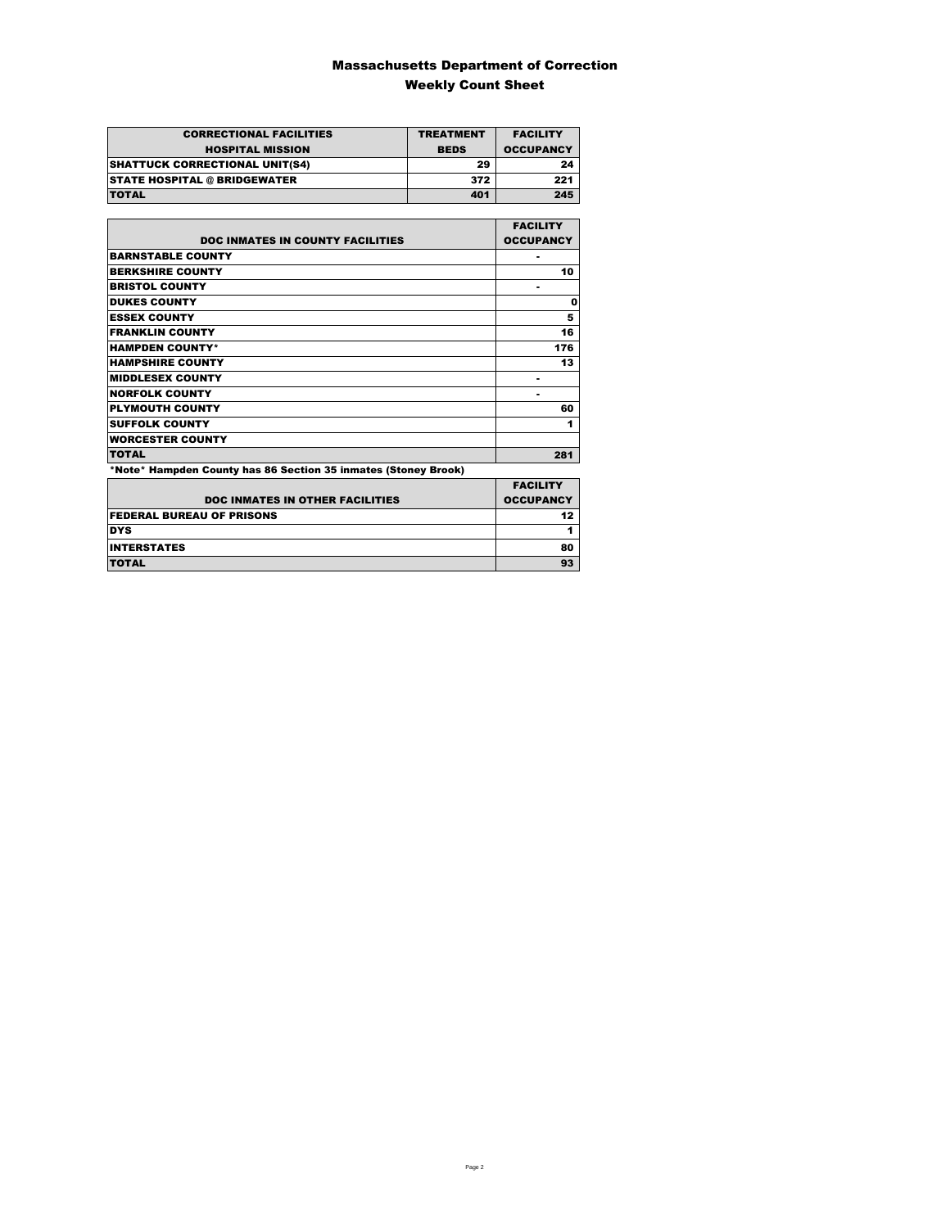### Massachusetts Department of Correction Weekly Count Sheet

| <b>CORRECTIONAL FACILITIES</b>        | <b>TREATMENT</b> | <b>FACILITY</b>  |
|---------------------------------------|------------------|------------------|
| <b>HOSPITAL MISSION</b>               | <b>BEDS</b>      | <b>OCCUPANCY</b> |
| <b>SHATTUCK CORRECTIONAL UNIT(S4)</b> | 29               | 24               |
| <b>STATE HOSPITAL @ BRIDGEWATER</b>   | 372              | 221              |
| <b>TOTAL</b>                          | 401              | 245              |

|                                                                | <b>FACILITY</b>  |
|----------------------------------------------------------------|------------------|
| <b>DOC INMATES IN COUNTY FACILITIES</b>                        | <b>OCCUPANCY</b> |
| <b>BARNSTABLE COUNTY</b>                                       |                  |
| <b>BERKSHIRE COUNTY</b>                                        | 10               |
| <b>BRISTOL COUNTY</b>                                          |                  |
| <b>DUKES COUNTY</b>                                            | 0                |
| <b>ESSEX COUNTY</b>                                            | 5                |
| <b>FRANKLIN COUNTY</b>                                         | 16               |
| <b>HAMPDEN COUNTY*</b>                                         | 176              |
| <b>HAMPSHIRE COUNTY</b>                                        | 13               |
| <b>MIDDLESEX COUNTY</b>                                        |                  |
| <b>NORFOLK COUNTY</b>                                          |                  |
| <b>PLYMOUTH COUNTY</b>                                         | 60               |
| <b>SUFFOLK COUNTY</b>                                          | 1                |
| <b>WORCESTER COUNTY</b>                                        |                  |
| <b>TOTAL</b>                                                   | 281              |
| *Note* Hampden County has 86 Section 35 inmates (Stoney Brook) |                  |

|                                        | <b>FACILITY</b>  |
|----------------------------------------|------------------|
| <b>DOC INMATES IN OTHER FACILITIES</b> | <b>OCCUPANCY</b> |
| <b>FEDERAL BUREAU OF PRISONS</b>       | 12               |
| <b>DYS</b>                             |                  |
| <b>INTERSTATES</b>                     | 80               |
| <b>TOTAL</b>                           | 93               |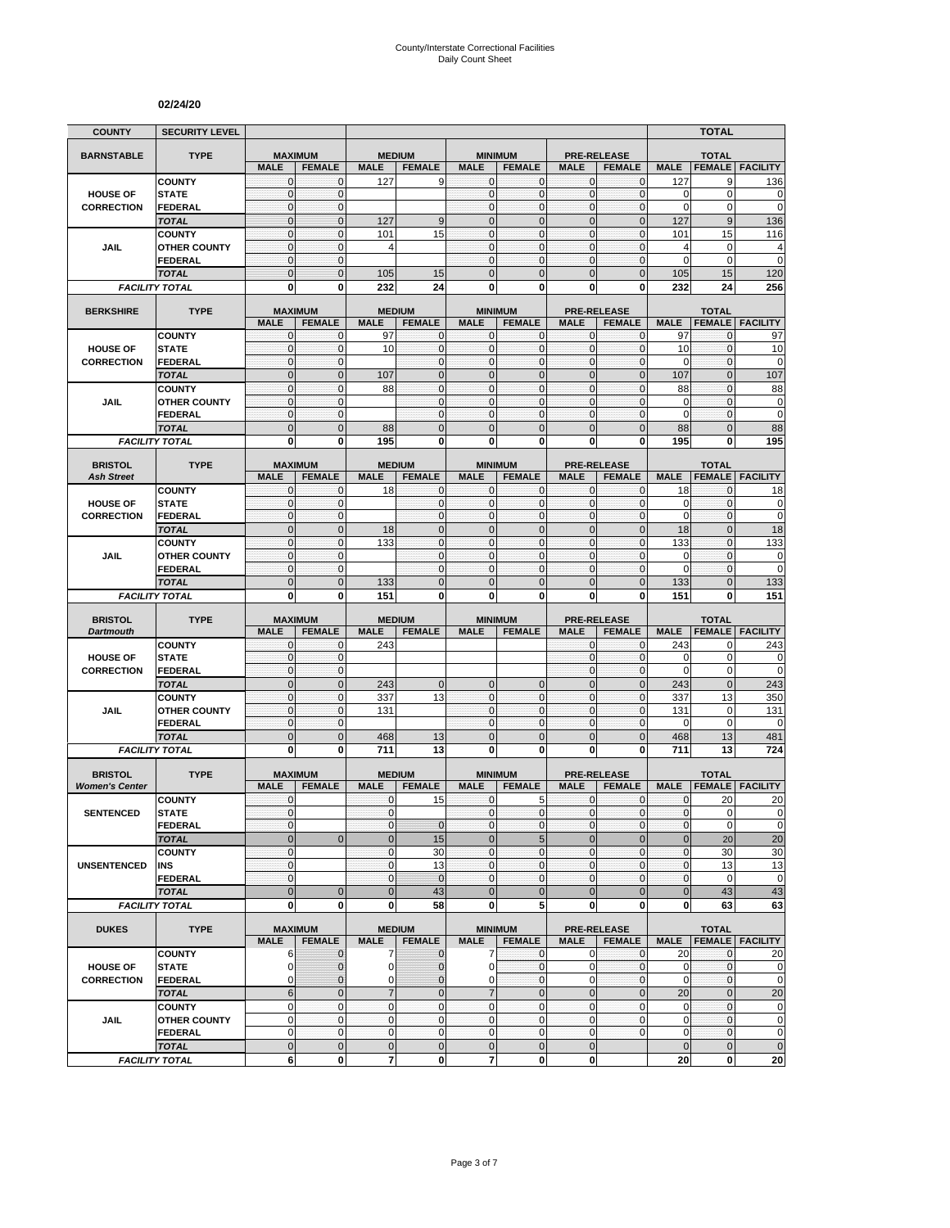## County/Interstate Correctional Facilities Daily Count Sheet

#### **02/24/20**

|                                         | <b>SECURITY LEVEL</b>                 |                              |                                 |                              |                                |                              |                                 |                              |                                     |                          | <b>TOTAL</b>                  |                                                       |
|-----------------------------------------|---------------------------------------|------------------------------|---------------------------------|------------------------------|--------------------------------|------------------------------|---------------------------------|------------------------------|-------------------------------------|--------------------------|-------------------------------|-------------------------------------------------------|
| <b>BARNSTABLE</b>                       | <b>TYPE</b>                           | <b>MAXIMUM</b>               |                                 | <b>MEDIUM</b>                |                                | <b>MINIMUM</b>               |                                 | <b>PRE-RELEASE</b>           |                                     |                          | <b>TOTAL</b>                  |                                                       |
|                                         |                                       | <b>MALE</b>                  | <b>FEMALE</b>                   | <b>MALE</b>                  | <b>FEMALE</b>                  | <b>MALE</b>                  | <b>FEMALE</b>                   | <b>MALE</b>                  | <b>FEMALE</b>                       | <b>MALE</b>              | <b>FEMALE</b>                 | <b>FACILITY</b>                                       |
|                                         | <b>COUNTY</b>                         | $\mathbf{0}$                 | $\mathbf{0}$                    | 127                          | 9                              | $\mathbf{0}$                 | $\mathbf 0$                     | $\mathbf 0$                  | $\mathbf{0}$                        | 127                      | 9                             | 136                                                   |
| <b>HOUSE OF</b>                         | <b>STATE</b>                          | $\mathbf 0$                  | $\mathbf{0}$                    |                              |                                | $\mathbf{0}$                 | $\mathbf 0$                     | $\mathbf{0}$                 | $\mathbf 0$                         | 0                        | $\mathbf 0$                   | 0                                                     |
| <b>CORRECTION</b>                       | <b>FEDERAL</b>                        | $\mathbf 0$                  | $\mathbf{0}$                    |                              |                                | $\mathbf{0}$                 | $\mathbf 0$                     | $\mathbf{0}$                 | $\mathbf 0$                         | 0                        | $\mathbf 0$                   | $\mathbf 0$                                           |
|                                         | <b>TOTAL</b>                          | $\mathbf 0$                  | $\mathbf 0$                     | 127                          | 9                              | $\mathbf{0}$                 | $\mathbf 0$                     | $\mathbf 0$                  | $\mathbf 0$                         | 127                      | $9\,$                         | 136                                                   |
|                                         | <b>COUNTY</b>                         | $\mathbf 0$<br>$\mathbf{0}$  | $\mathbf{0}$<br>$\mathbf{0}$    | 101                          | 15                             | $\mathbf{0}$<br>$\mathbf{0}$ | $\mathbf{0}$<br>$\mathbf{0}$    | $\mathbf{0}$<br>$\mathbf{O}$ | $\mathbf 0$<br>$\mathbf 0$          | 101                      | 15                            | 116                                                   |
| JAIL                                    | <b>OTHER COUNTY</b><br><b>FEDERAL</b> | $\mathbf{0}$                 | $\mathbf 0$                     | 4                            |                                | $\mathbf 0$                  | $\mathbf{0}$                    | $\mathbf 0$                  | 0                                   | 4<br>0                   | $\mathbf 0$<br>$\mathbf 0$    | 4<br>$\overline{0}$                                   |
|                                         | <b>TOTAL</b>                          | $\mathbf 0$                  | $\overline{0}$                  | 105                          | 15                             | $\overline{0}$               | $\Omega$                        | $\mathbf{0}$                 | $\overline{0}$                      | 105                      | 15                            | 120                                                   |
|                                         | <b>FACILITY TOTAL</b>                 | $\mathbf 0$                  | 0                               | 232                          | 24                             | 0                            | 0                               | $\bf{0}$                     | 0                                   | 232                      | 24                            | 256                                                   |
|                                         |                                       |                              |                                 |                              |                                |                              |                                 |                              |                                     |                          |                               |                                                       |
| <b>BERKSHIRE</b>                        | <b>TYPE</b>                           |                              | <b>MAXIMUM</b>                  | <b>MEDIUM</b>                |                                | <b>MINIMUM</b>               |                                 | <b>PRE-RELEASE</b>           |                                     |                          | <b>TOTAL</b>                  |                                                       |
|                                         |                                       | <b>MALE</b><br>0             | <b>FEMALE</b>                   | <b>MALE</b>                  | <b>FEMALE</b>                  | <b>MALE</b><br>$\mathbf 0$   | <b>FEMALE</b><br>$\mathbf{0}$   | <b>MALE</b>                  | <b>FEMALE</b>                       | <b>MALE</b>              | <b>FEMALE</b>                 | <b>FACILITY</b>                                       |
| <b>HOUSE OF</b>                         | <b>COUNTY</b><br><b>STATE</b>         | $\mathbf{0}$                 | $\mathbf{0}$<br>$\mathbf{0}$    | 97<br>10                     | 0<br>$\mathbf 0$               | $\mathbf{0}$                 | $\mathbf{0}$                    | $\mathbf 0$<br>$\mathbf 0$   | 0<br>$\mathbf 0$                    | 97<br>10                 | 0<br>$\mathbf{0}$             | 97<br>10                                              |
| <b>CORRECTION</b>                       | <b>FEDERAL</b>                        | $\mathbf{0}$                 | $\mathbf 0$                     |                              | $\mathbf{0}$                   | $\mathbf{0}$                 | $\mathbf{0}$                    | $\pmb{0}$                    | $\mathbf 0$                         | 0                        | $\mathbf{0}$                  | $\mathbf 0$                                           |
|                                         | <b>TOTAL</b>                          | $\overline{0}$               | $\mathbf{0}$                    | 107                          | $\overline{0}$                 | $\overline{0}$               | $\overline{0}$                  | $\mathbf 0$                  | $\overline{0}$                      | 107                      | $\mathbf{0}$                  | 107                                                   |
|                                         | <b>COUNTY</b>                         | $\mathbf{0}$                 | $\mathbf{0}$                    | 88                           | $\mathbf 0$                    | $\mathbf{0}$                 | $\mathbf 0$                     | $\mathbf{0}$                 | $\mathbf 0$                         | 88                       | $\mathbf{0}$                  | 88                                                    |
| <b>JAIL</b>                             | <b>OTHER COUNTY</b>                   | $\mathbf{0}$                 | $\mathbf{0}$                    |                              | $\mathbf 0$                    | $\mathbf{0}$                 | $\mathbf{0}$                    | $\mathbf{0}$                 | $\mathbf 0$                         | 0                        | $\mathbf 0$                   | 0                                                     |
|                                         | <b>FEDERAL</b>                        | $\mathbf{0}$                 | $\mathbf{0}$                    |                              | $\mathbf{0}$                   | $\mathbf{0}$                 | $\mathbf{0}$                    | $\mathbf{O}$                 | $\mathbf 0$                         | 0                        | $\mathbf 0$                   | 0                                                     |
|                                         | <b>TOTAL</b>                          | $\mathbf 0$                  | $\mathbf 0$                     | 88                           | $\mathbf 0$                    | $\mathbf 0$                  | $\mathbf 0$                     | $\mathbf 0$                  | $\mathbf 0$                         | 88                       | $\mathbf 0$                   | 88                                                    |
|                                         | <b>FACILITY TOTAL</b>                 | 0                            | $\bf{0}$                        | 195                          | $\mathbf{0}$                   | 0                            | $\mathbf 0$                     | $\mathbf 0$                  | 0                                   | 195                      | 0                             | 195                                                   |
| <b>BRISTOL</b>                          | <b>TYPE</b>                           |                              | <b>MAXIMUM</b>                  | <b>MEDIUM</b>                |                                | <b>MINIMUM</b>               |                                 |                              | <b>PRE-RELEASE</b>                  |                          | <b>TOTAL</b>                  |                                                       |
| <b>Ash Street</b>                       |                                       | <b>MALE</b>                  | <b>FEMALE</b>                   | <b>MALE</b>                  | <b>FEMALE</b>                  | <b>MALE</b>                  | <b>FEMALE</b>                   | <b>MALE</b>                  | <b>FEMALE</b>                       | <b>MALE</b>              |                               | <b>FEMALE FACILITY</b>                                |
|                                         | <b>COUNTY</b>                         | $\mathbf{0}$                 | $\mathbf{0}$                    | 18                           | $\mathbf{0}$                   | $\mathbf{0}$                 | $\mathbf{0}$                    | 0                            | $\mathbf 0$                         | 18                       | $\mathbf{0}$                  | 18                                                    |
| <b>HOUSE OF</b>                         | <b>STATE</b>                          | $\mathbf{0}$                 | $\pmb{0}$                       |                              | $\mathbf 0$                    | $\mathbf{0}$                 | $\mathbf{0}$                    | $\mathbf 0$                  | 0                                   | 0                        | $\pmb{0}$                     | $\mathbf 0$                                           |
| <b>CORRECTION</b>                       | <b>FEDERAL</b>                        | $\mathbf{0}$                 | $\mathbf 0$                     |                              | $\mathbf{0}$                   | $\mathbf{0}$                 | $\mathbf{0}$                    | $\mathbf 0$                  | $\mathbf 0$                         | $\mathbf 0$              | $\mathbf 0$                   | 0                                                     |
|                                         | <b>TOTAL</b>                          | $\mathbf 0$                  | $\mathbf 0$                     | 18                           | $\mathbf 0$                    | $\mathbf{0}$                 | $\overline{0}$                  | $\mathbf 0$                  | $\overline{0}$                      | 18                       | $\mathbf{0}$                  | 18                                                    |
|                                         | <b>COUNTY</b>                         | $\mathbf 0$                  | $\mathbf{0}$                    | 133                          | $\overline{0}$                 | $\mathbf{0}$                 | $\mathbf 0$                     | $\mathbf{0}$                 | $\mathbf 0$                         | 133                      | $\mathbf{0}$                  | 133                                                   |
| JAIL                                    | <b>OTHER COUNTY</b>                   | $\mathbf{0}$                 | $\mathbf{0}$                    |                              | $\mathbf 0$                    | $\mathbf{0}$                 | $\mathbf 0$                     | $\mathbf{0}$                 | $\overline{0}$                      | 0                        | $\mathbf{0}$                  | 0                                                     |
|                                         | <b>FEDERAL</b>                        | $\mathbf{0}$<br>$\mathbf 0$  | $\mathbf 0$<br>$\mathbf{0}$     |                              | $\mathbf 0$<br>$\mathbf 0$     | $\mathbf{0}$<br>$\mathbf{0}$ | $\mathbf{0}$<br>$\Omega$        | $\mathbf 0$<br>$\mathbf{0}$  | $\mathbf 0$<br>$\overline{0}$       | 0                        | $\mathbf 0$<br>$\mathbf{0}$   | $\mathbf 0$                                           |
|                                         | <b>TOTAL</b><br><b>FACILITY TOTAL</b> | 0                            | 0                               | 133<br>151                   | 0                              | 0                            | 0                               | 0                            | 0                                   | 133<br>151               | 0                             | 133<br>151                                            |
|                                         |                                       |                              |                                 |                              |                                |                              |                                 |                              |                                     |                          |                               |                                                       |
| <b>BRISTOL</b>                          | <b>TYPE</b>                           |                              | <b>MAXIMUM</b>                  | <b>MEDIUM</b>                |                                | <b>MINIMUM</b>               |                                 | <b>PRE-RELEASE</b>           |                                     |                          | <b>TOTAL</b>                  |                                                       |
| <b>Dartmouth</b>                        |                                       | <b>MALE</b>                  | <b>FEMALE</b>                   | <b>MALE</b>                  | <b>FEMALE</b>                  | <b>MALE</b>                  | <b>FEMALE</b>                   | <b>MALE</b>                  | <b>FEMALE</b>                       | <b>MALE</b>              | <b>FEMALE</b>                 | <b>FACILITY</b>                                       |
|                                         | <b>COUNTY</b>                         | $\mathbf{0}$<br>$\mathbf{0}$ | $\mathbf{0}$                    | 243                          |                                |                              |                                 | $\mathbf{0}$                 | 0                                   | 243                      | 0                             | 243<br>0                                              |
| <b>HOUSE OF</b><br><b>CORRECTION</b>    | <b>STATE</b><br><b>FEDERAL</b>        | $\mathbf{0}$                 | $\mathbf{0}$<br>$\mathbf 0$     |                              |                                |                              |                                 | $\mathbf{0}$                 | $\mathbf 0$                         | 0                        |                               |                                                       |
|                                         | <b>TOTAL</b>                          |                              |                                 |                              |                                |                              |                                 |                              |                                     |                          | $\mathbf 0$                   |                                                       |
|                                         |                                       |                              |                                 |                              |                                |                              |                                 | $\mathbf 0$                  | $\mathbf 0$                         | 0                        | 0                             | 0                                                     |
|                                         |                                       | $\mathbf 0$                  | $\mathbf{0}$                    | 243                          | $\mathbf 0$                    | $\mathbf{0}$                 | $\mathbf{0}$                    | $\mathbf{0}$                 | $\overline{0}$                      | 243                      | $\mathbf{0}$                  | 243                                                   |
| JAIL                                    | <b>COUNTY</b><br><b>OTHER COUNTY</b>  | $\mathbf{0}$<br>$\mathbf 0$  | $\pmb{0}$<br>$\mathbf{0}$       | 337<br>131                   | 13                             | $\mathbf{0}$<br>$\Omega$     | $\mathbf{0}$<br>$\mathbf 0$     | $\mathbf 0$<br>$\mathbf{0}$  | 0<br>0                              | 337<br>131               | 13<br>$\mathbf 0$             | 350<br>131                                            |
|                                         | <b>FEDERAL</b>                        | $\mathbf 0$                  | $\mathbf{0}$                    |                              |                                | $\mathbf{0}$                 | $\mathbf{0}$                    | $\mathbf{O}$                 | $\mathbf 0$                         | 0                        | $\mathbf 0$                   | 0                                                     |
|                                         | <b>TOTAL</b>                          | $\mathbf 0$                  | $\mathbf{0}$                    | 468                          | 13                             | $\mathbf{0}$                 | $\mathbf 0$                     | $\mathbf{0}$                 | $\overline{0}$                      | 468                      | 13                            | 481                                                   |
|                                         | <b>FACILITY TOTAL</b>                 | 0                            | $\mathbf{0}$                    | 711                          | 13                             | 0                            | $\bf{0}$                        | 0                            | 0                                   | 711                      | 13                            | 724                                                   |
|                                         |                                       |                              |                                 |                              |                                |                              |                                 |                              |                                     |                          |                               |                                                       |
| <b>BRISTOL</b><br><b>Women's Center</b> | <b>TYPE</b>                           | <b>MALE</b>                  | <b>MAXIMUM</b><br><b>FEMALE</b> | <b>MALE</b>                  | <b>MEDIUM</b><br><b>FEMALE</b> | <b>MALE</b>                  | <b>MINIMUM</b><br><b>FEMALE</b> | <b>MALE</b>                  | <b>PRE-RELEASE</b><br><b>FEMALE</b> | <b>MALE</b>              | <b>TOTAL</b><br><b>FEMALE</b> | <b>FACILITY</b>                                       |
|                                         | <b>COUNTY</b>                         | $\mathbf{0}$                 |                                 | $\mathbf{0}$                 | 15                             | $\mathbf{0}$                 | 5                               | $\mathbf{0}$                 | $\mathbf{0}$                        | $\mathbf{0}$             | 20                            |                                                       |
| <b>SENTENCED</b>                        | <b>STATE</b>                          | $\Omega$                     |                                 | $\overline{0}$               |                                | $\Omega$                     | $\Omega$                        | $\Omega$                     | $\overline{0}$                      | $\overline{0}$           | $\mathbf 0$                   |                                                       |
|                                         | <b>FEDERAL</b>                        | $\mathbf{0}$                 |                                 | $\mathbf 0$                  | $\mathbf 0$                    | $\mathbf{0}$                 | 0                               | $\mathbf 0$                  | 0                                   | $\pmb{0}$                | $\mathbf 0$                   |                                                       |
|                                         | <b>TOTAL</b>                          | $\mathbf 0$                  | $\overline{0}$                  | $\pmb{0}$                    | 15                             | $\mathbf 0$                  | 5                               | $\mathbf{0}$                 | $\mathbf 0$                         | $\bf 0$                  | 20                            |                                                       |
|                                         | <b>COUNTY</b>                         | $\mathbf{0}$                 |                                 | 0                            | 30                             | $\mathbf 0$                  | $\pmb{0}$                       | $\mathbf 0$                  | 0                                   | $\pmb{0}$                | 30                            |                                                       |
| <b>UNSENTENCED</b>                      | INS                                   | $\mathbf{0}$                 |                                 | $\mathbf{0}$                 | 13                             | $\mathbf{0}$                 | $\mathbf{0}$                    | $\mathbf{0}$                 | 0                                   | 0                        | 13                            | 20<br>$\overline{0}$<br>$\mathbf 0$<br>20<br>30<br>13 |
|                                         | <b>FEDERAL</b>                        | $\mathbf{0}$                 |                                 | $\mathbf 0$                  | $\mathbf{0}$                   | $\mathbf{0}$                 | $\mathbf{0}$                    | $\mathbf 0$                  | $\mathbf 0$                         | $\pmb{0}$                | $\mathbf 0$                   | $\pmb{0}$                                             |
|                                         | <b>TOTAL</b>                          | $\mathbf{0}$                 | $\mathbf{0}$                    | $\overline{0}$               | 43                             | $\overline{0}$               | $\mathbf{0}$                    | $\mathbf 0$                  | $\mathbf 0$                         | $\mathbf{0}$             | 43                            |                                                       |
|                                         | <b>FACILITY TOTAL</b>                 | $\mathbf{0}$                 | $\bf{0}$                        | 0                            | 58                             | 0                            | 5                               | $\mathbf{0}$                 | 0                                   | 0                        | 63                            |                                                       |
| <b>DUKES</b>                            | <b>TYPE</b>                           |                              | <b>MAXIMUM</b>                  |                              | <b>MEDIUM</b>                  |                              | <b>MINIMUM</b>                  |                              | <b>PRE-RELEASE</b>                  |                          | <b>TOTAL</b>                  | 43<br>63                                              |
|                                         |                                       | <b>MALE</b>                  | <b>FEMALE</b>                   | <b>MALE</b>                  | <b>FEMALE</b>                  | <b>MALE</b>                  | <b>FEMALE</b>                   | <b>MALE</b>                  | <b>FEMALE</b>                       | <b>MALE</b>              |                               | <b>FEMALE   FACILITY</b>                              |
|                                         | <b>COUNTY</b>                         | 6                            | $\mathbf 0$                     | 7                            | $\mathbf{0}$                   | 7                            | 0                               | $\mathbf 0$                  | 0                                   | 20                       | 0                             |                                                       |
| <b>HOUSE OF</b>                         | <b>STATE</b>                          | 0                            | $\mathbf 0$                     | $\mathbf 0$                  | $\pmb{0}$                      | 0                            | $\pmb{0}$                       | $\mathbf 0$                  | 0                                   | 0                        | $\mathbf 0$                   |                                                       |
| <b>CORRECTION</b>                       | <b>FEDERAL</b>                        | 0                            | $\mathbf{0}$                    | 0                            | $\mathbf 0$                    | $\Omega$                     | $\mathbf{0}$                    | $\mathbf 0$                  | 0                                   | $\mathbf 0$              | $\mathbf{0}$                  |                                                       |
|                                         | <b>TOTAL</b>                          | $6\phantom{1}6$              | $\mathbf{0}$                    | $\overline{7}$               | $\mathbf 0$                    | $\overline{7}$               | $\overline{0}$                  | $\mathbf{0}$                 | $\overline{0}$                      | 20                       | $\mathbf{0}$                  |                                                       |
|                                         | <b>COUNTY</b>                         | $\mathbf 0$<br>$\mathbf 0$   | $\mathbf{0}$<br>$\mathbf{O}$    | $\mathbf{0}$<br>$\mathbf{O}$ | $\mathbf 0$                    | $\mathbf{0}$<br>$\mathbf{0}$ | $\mathbf{0}$<br>$\mathbf{0}$    | $\mathbf{0}$<br>$\mathbf{O}$ | $\mathbf 0$                         | 0                        | $\mathbf{0}$<br>$\mathbf{0}$  | 20<br>$\pmb{0}$<br>$\mathbf 0$<br>20<br>$\mathbf 0$   |
| <b>JAIL</b>                             | <b>OTHER COUNTY</b><br><b>FEDERAL</b> | 0                            | $\mathbf 0$                     | $\mathbf 0$                  | $\mathbf 0$<br>$\mathbf 0$     | $\mathbf 0$                  | $\pmb{0}$                       | $\mathbf{0}$                 | 0<br>0                              | $\pmb{0}$<br>$\mathbf 0$ | $\mathbf 0$                   | $\mathbf 0$<br>$\mathbf 0$                            |
|                                         | <b>TOTAL</b>                          | $\mathbf 0$                  | $\mathbf{0}$                    | $\mathbf 0$                  | $\mathbf 0$                    | $\mathbf 0$                  | $\mathbf{0}$                    | $\mathbf 0$                  |                                     | $\mathbf 0$              | $\mathbf 0$                   | $\mathbf 0$                                           |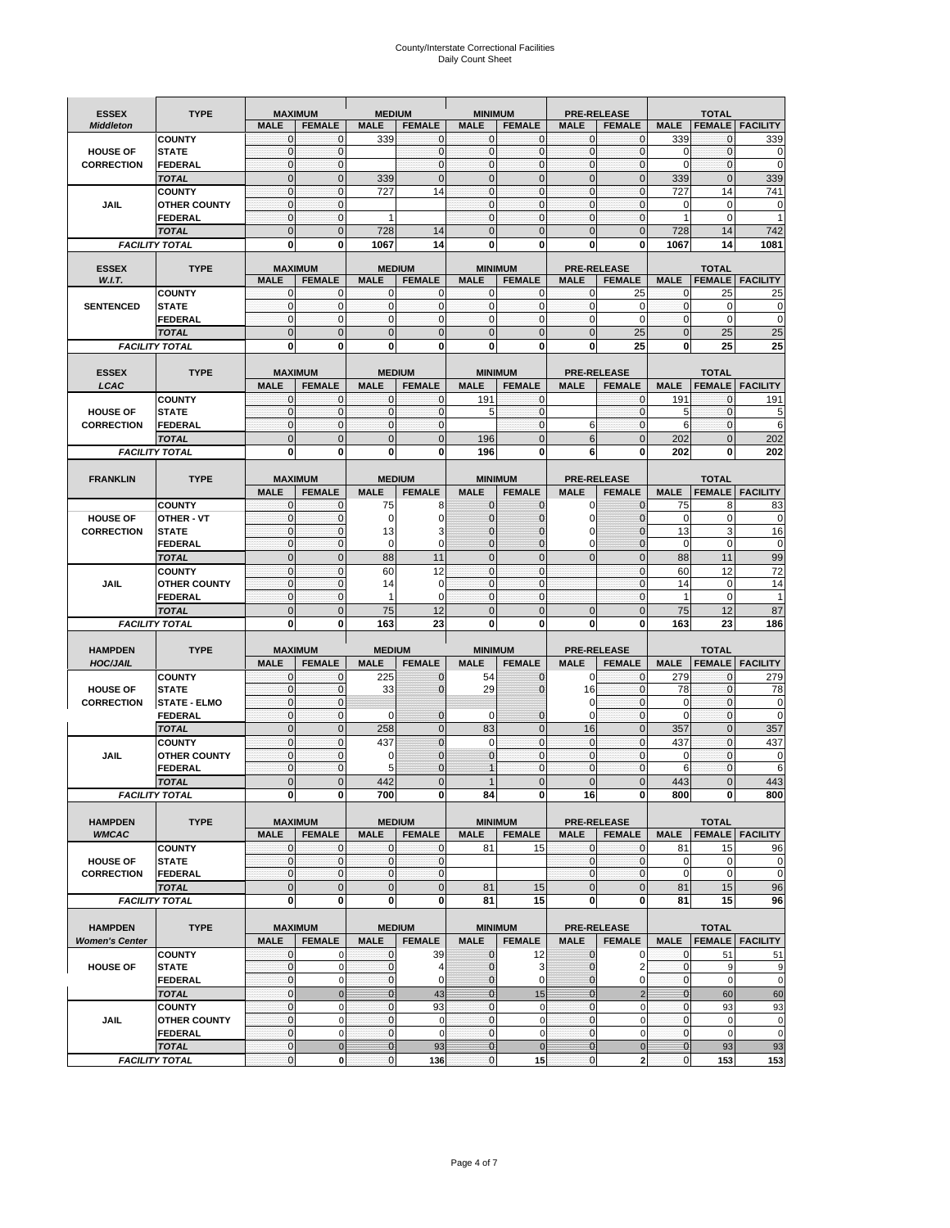# County/Interstate Correctional Facilities Daily Count Sheet

| <b>ESSEX</b>                      | <b>TYPE</b>                    | <b>MAXIMUM</b>                |                              | <b>MEDIUM</b>                |                              | <b>MINIMUM</b>                |                               |                              | <b>PRE-RELEASE</b>                  |                              | <b>TOTAL</b>                  |                             |
|-----------------------------------|--------------------------------|-------------------------------|------------------------------|------------------------------|------------------------------|-------------------------------|-------------------------------|------------------------------|-------------------------------------|------------------------------|-------------------------------|-----------------------------|
| <b>Middleton</b>                  |                                | <b>MALE</b>                   | <b>FEMALE</b>                | <b>MALE</b>                  | <b>FEMALE</b>                | <b>MALE</b>                   | <b>FEMALE</b>                 | <b>MALE</b>                  | <b>FEMALE</b>                       | <b>MALE</b>                  |                               | <b>FEMALE   FACILITY</b>    |
|                                   | <b>COUNTY</b>                  | $\mathbf 0$                   | $\mathbf 0$                  | 339                          | $\mathbf{0}$                 | $\mathbf{0}$                  | $\mathbf 0$                   | $\mathbf{0}$                 | $\mathbf 0$                         | 339                          | 0                             | 339                         |
| <b>HOUSE OF</b>                   | <b>STATE</b>                   | $\mathbf 0$                   | $\mathbf{0}$                 |                              | $\mathbf 0$                  | $\mathbf{O}$                  | $\mathbf{0}$                  | $\mathbf{O}$                 | $\mathbf 0$                         | 0                            | $\mathbf 0$                   | $\mathbf 0$                 |
| <b>CORRECTION</b>                 | <b>FEDERAL</b>                 | $\mathbf 0$                   | $\mathbf{0}$                 |                              | $\mathbf{0}$                 | $\mathbf{O}$                  | $\mathbf 0$                   | $\overline{0}$               | $\mathbf 0$                         | $\mathbf 0$                  | $\mathbf{0}$                  | $\mathbf 0$                 |
|                                   | <b>TOTAL</b>                   | $\overline{0}$                | $\overline{0}$               | 339                          | $\mathbf 0$                  | $\mathbf{0}$                  | $\overline{0}$                | $\mathbf{0}$                 | $\overline{0}$                      | 339                          | $\overline{0}$                | 339                         |
|                                   | <b>COUNTY</b>                  | 0                             | $\mathbf{0}$                 | 727                          | 14                           | $\mathbf 0$                   | $\mathbf 0$                   | $\mathbf{O}$                 | 0                                   | 727                          | 14                            | 741                         |
| JAIL                              | <b>OTHER COUNTY</b>            | $\mathbf 0$                   | $\mathbf{0}$                 |                              |                              | $\Omega$                      | $\mathbf{0}$                  | $\mathbf{0}$<br>$\mathbf{0}$ | $\mathbf 0$                         | 0                            | 0<br>0                        | $\mathbf 0$<br>$\mathbf{1}$ |
|                                   | <b>FEDERAL</b><br><b>TOTAL</b> | 0<br>$\overline{0}$           | $\mathbf 0$<br>$\Omega$      | $\mathbf{1}$<br>728          | 14                           | $\mathbf 0$<br>$\mathbf{0}$   | $\mathbf 0$<br>$\overline{0}$ | $\Omega$                     | 0<br>$\overline{0}$                 | 1<br>728                     | 14                            | 742                         |
|                                   | <b>FACILITY TOTAL</b>          | O                             | 0                            | 1067                         | 14                           | 0                             | 0                             | $\mathbf{0}$                 | $\mathbf{0}$                        | 1067                         | 14                            | 1081                        |
|                                   |                                |                               |                              |                              |                              |                               |                               |                              |                                     |                              |                               |                             |
| <b>ESSEX</b>                      | <b>TYPE</b>                    | <b>MAXIMUM</b>                |                              |                              | <b>MEDIUM</b>                |                               | <b>MINIMUM</b>                |                              | <b>PRE-RELEASE</b>                  |                              | <b>TOTAL</b>                  |                             |
| W.I.T.                            |                                | <b>MALE</b>                   | <b>FEMALE</b>                | <b>MALE</b>                  | <b>FEMALE</b>                | <b>MALE</b>                   | <b>FEMALE</b>                 | <b>MALE</b>                  | <b>FEMALE</b>                       | <b>MALE</b>                  | <b>FEMALE</b>                 | <b>FACILITY</b>             |
|                                   | <b>COUNTY</b>                  | 0                             | $\mathbf{0}$                 | 0                            | 0                            | 0                             | $\mathbf 0$                   | $\mathbf{0}$                 | 25                                  | 0                            | 25                            | 25                          |
| <b>SENTENCED</b>                  | <b>STATE</b><br><b>FEDERAL</b> | $\mathbf 0$<br>$\Omega$       | $\mathbf 0$<br>$\mathbf{0}$  | $\mathbf 0$<br>$\mathbf 0$   | $\mathbf{0}$<br>$\mathbf{0}$ | $\mathbf{O}$<br>$\Omega$      | $\mathbf 0$<br>$\mathbf 0$    | $\mathbf{0}$<br>$\mathbf{0}$ | 0<br>0                              | $\mathbf{0}$<br>$\mathbf{0}$ | $\mathbf 0$<br>0              | $\mathbf 0$<br>$\mathbf 0$  |
|                                   | <b>TOTAL</b>                   | $\overline{0}$                | $\Omega$                     | $\overline{0}$               | $\mathbf{0}$                 | $\mathbf{0}$                  | $\overline{0}$                | $\mathbf{0}$                 | 25                                  | $\overline{0}$               | 25                            | 25                          |
|                                   | <b>FACILITY TOTAL</b>          | 0                             | $\bf{0}$                     | 0                            | $\bf{0}$                     | 0                             | 0                             | 0                            | 25                                  | 0                            | 25                            | 25                          |
|                                   |                                |                               |                              |                              |                              |                               |                               |                              |                                     |                              |                               |                             |
| <b>ESSEX</b>                      | <b>TYPE</b>                    | <b>MAXIMUM</b>                |                              |                              | <b>MEDIUM</b>                |                               | <b>MINIMUM</b>                |                              | <b>PRE-RELEASE</b>                  |                              | <b>TOTAL</b>                  |                             |
| LCAC                              |                                | <b>MALE</b>                   | <b>FEMALE</b>                | <b>MALE</b>                  | <b>FEMALE</b>                | <b>MALE</b>                   | <b>FEMALE</b>                 | <b>MALE</b>                  | <b>FEMALE</b>                       | <b>MALE</b>                  | <b>FEMALE</b>                 | <b>FACILITY</b>             |
|                                   | <b>COUNTY</b>                  | $\mathbf{0}$                  | $\mathbf 0$                  | $\mathbf 0$                  | $\mathbf{0}$                 | 191                           | $\mathbf 0$                   |                              | $\mathbf{0}$                        | 191                          | $\mathbf{0}$                  | 191                         |
| <b>HOUSE OF</b>                   | <b>STATE</b>                   | $\mathbf 0$                   | $\Omega$                     | $\overline{0}$               | $\mathbf{0}$                 | 5                             | $\mathbf 0$                   |                              | $\mathbf{0}$                        | 5                            | $\mathbf 0$                   | 5                           |
| <b>CORRECTION</b>                 | <b>FEDERAL</b>                 | $\mathbf 0$                   | $\mathbf{0}$                 | $\mathbf 0$                  | $\mathbf{0}$                 |                               | $\mathbf 0$                   | 6                            | $\mathbf 0$                         | 6                            | 0                             | 6                           |
|                                   | <b>TOTAL</b>                   | $\overline{0}$                | $\mathbf{0}$                 | $\overline{0}$               | $\mathbf{0}$                 | 196                           | $\overline{0}$                | 6                            | $\mathbf 0$                         | 202                          | $\overline{0}$                | 202                         |
|                                   | <b>FACILITY TOTAL</b>          | 0                             | $\bf{0}$                     | 0                            | $\bf{0}$                     | 196                           | 0                             | 6                            | 0                                   | 202                          | 0                             | 202                         |
|                                   |                                |                               |                              |                              |                              |                               |                               |                              |                                     |                              |                               |                             |
| <b>FRANKLIN</b>                   | <b>TYPE</b>                    | <b>MAXIMUM</b>                |                              |                              | <b>MEDIUM</b>                |                               | <b>MINIMUM</b>                |                              | <b>PRE-RELEASE</b>                  |                              | <b>TOTAL</b>                  |                             |
|                                   |                                | <b>MALE</b>                   | <b>FEMALE</b>                | <b>MALE</b>                  | <b>FEMALE</b>                | <b>MALE</b>                   | <b>FEMALE</b>                 | <b>MALE</b>                  | <b>FEMALE</b>                       | <b>MALE</b>                  | <b>FEMALE</b>                 | <b>FACILITY</b>             |
| <b>HOUSE OF</b>                   | <b>COUNTY</b><br>OTHER - VT    | 0<br>$\mathbf 0$              | $\mathbf{0}$<br>$\mathbf{0}$ | 75<br>0                      | 8<br>$\mathbf 0$             | $\mathbf 0$<br>$\mathbf{0}$   | $\mathbf 0$<br>$\Omega$       | 0<br>0                       | $\overline{0}$<br>$\overline{0}$    | 75<br>$\mathbf 0$            | 8<br>0                        | 83<br>$\mathbf 0$           |
| <b>CORRECTION</b>                 | <b>STATE</b>                   | 0                             | $\mathbf{0}$                 | 13                           | 3                            | $\mathbf{0}$                  | $\mathbf{0}$                  | $\mathbf 0$                  | $\overline{0}$                      | 13                           | 3                             | 16                          |
|                                   | <b>FEDERAL</b>                 | $\mathbf 0$                   | $\mathbf 0$                  | $\mathbf 0$                  | $\mathbf 0$                  | $\mathbf{0}$                  | $\overline{0}$                | $\mathbf 0$                  | $\overline{0}$                      | $\mathbf 0$                  | 0                             | $\mathbf 0$                 |
|                                   | <b>TOTAL</b>                   | $\overline{0}$                | $\mathbf{0}$                 | 88                           | 11                           | $\mathbf{0}$                  | $\overline{0}$                | $\Omega$                     | $\overline{0}$                      | 88                           | 11                            | 99                          |
|                                   | <b>COUNTY</b>                  | 0                             | $\mathbf{0}$                 | 60                           | 12                           | $\mathbf{0}$                  | $\mathbf{0}$                  |                              | $\mathbf 0$                         | 60                           | 12                            | 72                          |
| <b>JAIL</b>                       | <b>OTHER COUNTY</b>            | $\Omega$                      | $\Omega$                     | 14                           | $\Omega$                     | $\Omega$                      | $\Omega$                      |                              | $\mathbf{0}$                        | 14                           | $\mathbf 0$                   | 14                          |
|                                   | <b>FEDERAL</b>                 | $\mathbf 0$                   | $\mathbf{0}$                 | 1                            | $\mathbf 0$                  | $\mathbf{O}$                  | $\mathbf 0$                   |                              | $\mathbf 0$                         | $\mathbf{1}$                 | $\mathbf 0$                   | $\mathbf{1}$                |
|                                   | <b>TOTAL</b>                   | $\mathbf 0$                   | $\mathbf{0}$                 | 75                           | 12                           | $\mathbf 0$                   | $\overline{0}$                | $\mathbf{0}$                 | $\mathbf 0$                         | 75                           | 12                            | 87                          |
|                                   | <b>FACILITY TOTAL</b>          | O                             | 0                            | 163                          | 23                           | $\bf{0}$                      | $\Omega$                      | $\bf{0}$                     | 0                                   | 163                          | 23                            | 186                         |
|                                   |                                |                               |                              |                              |                              |                               |                               |                              |                                     |                              |                               |                             |
| <b>HAMPDEN</b><br><b>HOC/JAIL</b> | <b>TYPE</b>                    | <b>MAXIMUM</b><br><b>MALE</b> | <b>FEMALE</b>                | <b>MEDIUM</b><br><b>MALE</b> | <b>FEMALE</b>                | <b>MINIMUM</b><br><b>MALE</b> | <b>FEMALE</b>                 | <b>MALE</b>                  | <b>PRE-RELEASE</b><br><b>FEMALE</b> | <b>MALE</b>                  | <b>TOTAL</b><br><b>FEMALE</b> | <b>FACILITY</b>             |
|                                   | <b>COUNTY</b>                  | 0                             | $\mathbf{0}$                 | 225                          | $\mathbf{0}$                 | 54                            | $\mathbf 0$                   | $\mathbf{0}$                 | 0                                   | 279                          | $\mathbf 0$                   | 279                         |
| <b>HOUSE OF</b>                   | <b>STATE</b>                   | $\mathbf 0$                   | $\mathbf{0}$                 | 33                           | $\mathbf 0$                  | 29                            | $\mathbf{0}$                  | 16                           | $\mathbf 0$                         | 78                           | 0                             | 78                          |
| <b>CORRECTION</b>                 | <b>STATE - ELMO</b>            | 0                             | $\mathbf 0$                  |                              |                              |                               |                               | $\mathbf 0$                  | $\mathbf 0$                         | $\mathbf 0$                  | 0                             | $\mathbf 0$                 |
|                                   | FEDERAL                        | $\mathbf 0$                   | $\mathbf{0}$                 | $\Omega$                     | $\mathbf{0}$                 | 0                             | $\mathbf{0}$                  | $\Omega$                     | $\mathbf 0$                         | $\mathbf 0$                  | $\mathbf 0$                   | $\mathbf 0$                 |
|                                   | <b>TOTAL</b>                   | $\mathbf 0$                   | $\mathbf{0}$                 | 258                          | $\mathbf 0$                  | 83                            | $\mathbf 0$                   | 16                           | $\overline{0}$                      | 357                          | $\overline{0}$                | 357                         |
|                                   | <b>COUNTY</b>                  | $\mathbf 0$                   | $\mathbf{0}$                 | 437                          | $\Omega$                     | $\Omega$                      | $\mathbf 0$                   | $\Omega$                     | $\mathbf{0}$                        | 437                          | $\mathbf 0$                   | 437                         |
| JAIL                              | <b>OTHER COUNTY</b>            | $\mathbf 0$                   | $\mathbf 0$                  | 0                            | $\overline{0}$               | $\mathbf{0}$                  | $\mathbf 0$                   | $\mathbf{O}$                 | $\mathbf 0$                         | $\mathbf 0$                  | $\mathbf{0}$                  | $\mathbf 0$                 |
|                                   | <b>FEDERAL</b>                 | $\mathbf 0$                   | $\Omega$                     | 5                            | $\Omega$                     | 1                             | 0                             | $\Omega$                     | 0                                   | 6                            | $\mathbf 0$                   | 6                           |
|                                   | <b>TOTAL</b>                   | $\overline{0}$                | $\Omega$                     | 442                          | $\Omega$                     |                               | $\Omega$                      | $\Omega$                     | $\overline{0}$                      | 443                          | $\Omega$                      | 443                         |
|                                   | <b>FACILITY TOTAL</b>          | 0                             | $\mathbf{0}$                 | 700                          | 0                            | 84                            | 0                             | 16                           | 0                                   | 800                          | 0                             | 800                         |
| <b>HAMPDEN</b>                    | <b>TYPE</b>                    |                               | <b>MAXIMUM</b>               |                              | <b>MEDIUM</b>                |                               | <b>MINIMUM</b>                |                              | <b>PRE-RELEASE</b>                  |                              | <b>TOTAL</b>                  |                             |
| <b>WMCAC</b>                      |                                | <b>MALE</b>                   | <b>FEMALE</b>                | <b>MALE</b>                  | <b>FEMALE</b>                | <b>MALE</b>                   | <b>FEMALE</b>                 | <b>MALE</b>                  | <b>FEMALE</b>                       | <b>MALE</b>                  |                               | <b>FEMALE   FACILITY</b>    |
|                                   | <b>COUNTY</b>                  | $\mathbf{0}$                  | $\mathbf 0$                  | $\mathbf 0$                  | 0                            | 81                            | 15                            | $\mathbf 0$                  | $\mathbf 0$                         | 81                           | 15                            | 96                          |
| <b>HOUSE OF</b>                   | <b>STATE</b>                   | 0                             | $\mathbf 0$                  | $\pmb{0}$                    | $\bf{0}$                     |                               |                               | $\mathbf{0}$                 | $\pmb{0}$                           | $\mathbf 0$                  | $\mathbf 0$                   | 0                           |
| <b>CORRECTION</b>                 | <b>FEDERAL</b>                 | $\mathbf{0}$                  | $\mathbf{O}$                 | $\mathbf 0$                  | $\bf{0}$                     |                               |                               | $\overline{0}$               | $\mathbf 0$                         | $\mathbf 0$                  | $\mathbf 0$                   | $\mathbf 0$                 |
|                                   | <b>TOTAL</b>                   | $\mathbf 0$                   | $\mathbf{0}$                 | $\pmb{0}$                    | $\mathbf 0$                  | 81                            | 15                            | $\overline{0}$               | $\pmb{0}$                           | 81                           | 15                            | 96                          |
|                                   | <b>FACILITY TOTAL</b>          | 0                             | 0                            | 0                            | 0                            | 81                            | 15                            | 0                            | 0                                   | 81                           | 15                            | 96                          |
|                                   |                                |                               |                              |                              |                              |                               |                               |                              |                                     |                              |                               |                             |
| <b>HAMPDEN</b>                    | <b>TYPE</b>                    |                               | <b>MAXIMUM</b>               |                              | <b>MEDIUM</b>                |                               | <b>MINIMUM</b>                |                              | <b>PRE-RELEASE</b>                  |                              | <b>TOTAL</b>                  |                             |
| <b>Women's Center</b>             |                                | <b>MALE</b>                   | <b>FEMALE</b>                | <b>MALE</b>                  | <b>FEMALE</b>                | <b>MALE</b>                   | <b>FEMALE</b>                 | <b>MALE</b>                  | <b>FEMALE</b>                       | <b>MALE</b>                  |                               | <b>FEMALE</b> FACILITY      |
|                                   | <b>COUNTY</b>                  | 0<br>0                        | 0<br>$\mathbf 0$             | 0<br>0                       | 39<br>$\overline{4}$         | $\mathbf 0$<br>$\mathbf{0}$   | 12<br>3                       | $\mathbf 0$<br>$\mathbf{0}$  | 0<br>2                              | 0<br>$\mathbf{0}$            | 51<br>9                       | 51                          |
| <b>HOUSE OF</b>                   | <b>STATE</b><br>FEDERAL        | 0                             | $\mathbf 0$                  | 0                            | 0                            | $\mathbf 0$                   | 0                             | $\mathbf 0$                  | 0                                   | 0                            | $\pmb{0}$                     | 9<br>$\mathbf 0$            |
|                                   | <b>TOTAL</b>                   | $\mathbf 0$                   | $\mathbf{0}$                 | $\overline{0}$               | 43                           | $\overline{0}$                | 15                            | $\overline{0}$               | $\overline{2}$                      | $\bf{0}$                     | 60                            | 60                          |
|                                   | <b>COUNTY</b>                  | $\mathbf 0$                   | $\mathbf 0$                  | $\mathbf 0$                  | 93                           | $\mathbf 0$                   | $\mathbf 0$                   | $\overline{0}$               | $\mathsf 0$                         | 0                            | 93                            | 93                          |
| JAIL                              | <b>OTHER COUNTY</b>            | 0                             | $\mathbf 0$                  | $\mathbf 0$                  | $\mathbf 0$                  | $\mathbf 0$                   | $\mathbf 0$                   | $\mathbf{0}$                 | $\mathsf{O}\xspace$                 | $\mathbf 0$                  | 0                             | $\pmb{0}$                   |
|                                   | <b>FEDERAL</b>                 | $\mathbf 0$                   | $\mathbf 0$                  | $\mathbf 0$                  | $\mathbf 0$                  | $\mathbf 0$                   | $\mathbf 0$                   | $\mathbf{0}$                 | $\mathsf{O}\xspace$                 | 0                            | $\pmb{0}$                     | $\mathbf 0$                 |
|                                   | <b>TOTAL</b>                   | 0                             | $\mathbf{0}$                 | $\pmb{0}$                    | 93                           | $\overline{0}$                | $\mathbf 0$                   | $\mathbf{0}$                 | $\pmb{0}$                           | $\pmb{0}$                    | 93                            | 93                          |
|                                   | <b>FACILITY TOTAL</b>          | 0                             | $\mathbf{0}$                 | 0                            | 136                          | $\overline{0}$                | 15                            | $\mathbf{0}$                 | $\mathbf{2}$                        | $\mathbf 0$                  | 153                           | 153                         |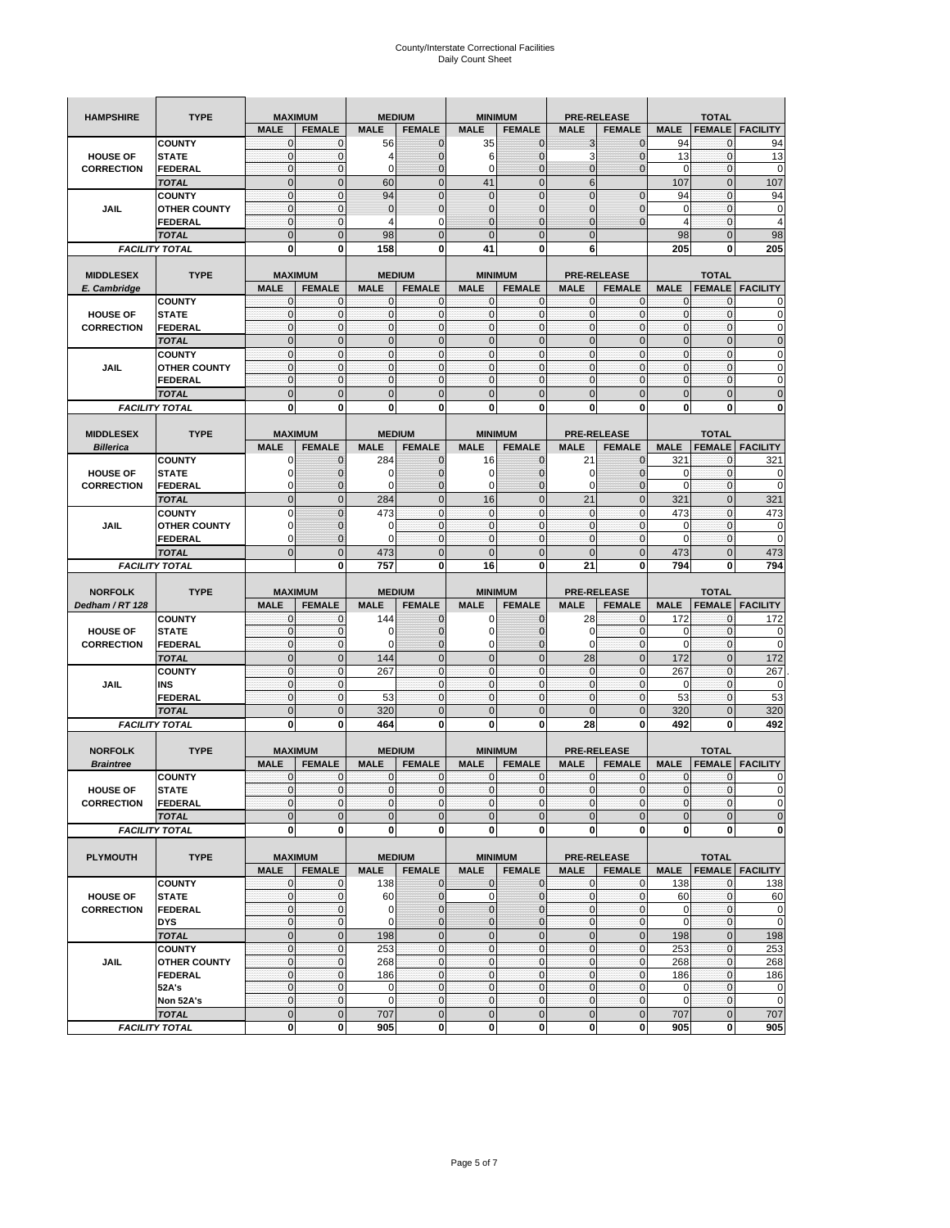| <b>HAMPSHIRE</b>  | <b>TYPE</b>                   | <b>MAXIMUM</b>                |                             |                              | <b>MEDIUM</b>               |                             | <b>MINIMUM</b>                   |                            | <b>PRE-RELEASE</b>                  |                  | <b>TOTAL</b>                  |                          |
|-------------------|-------------------------------|-------------------------------|-----------------------------|------------------------------|-----------------------------|-----------------------------|----------------------------------|----------------------------|-------------------------------------|------------------|-------------------------------|--------------------------|
|                   |                               | <b>MALE</b>                   | <b>FEMALE</b>               | <b>MALE</b>                  | <b>FEMALE</b>               | <b>MALE</b>                 | <b>FEMALE</b>                    | <b>MALE</b>                | <b>FEMALE</b>                       | <b>MALE</b>      | <b>FEMALE</b>                 | <b>FACILITY</b>          |
|                   | <b>COUNTY</b>                 | 0                             | 0                           | 56                           | $\mathbf 0$                 | 35                          | $\mathbf{0}$                     | 3                          | $\mathbf 0$                         | 94               | 0                             | 94                       |
| <b>HOUSE OF</b>   | <b>STATE</b>                  | $\mathbf 0$                   | $\mathbf 0$                 | 4                            | $\mathbf{0}$                | 6                           | $\overline{0}$                   | 3                          | $\overline{0}$                      | 13               | $\mathbf{0}$                  | 13                       |
| <b>CORRECTION</b> | <b>FEDERAL</b>                | $\mathbf{0}$                  | $\mathbf 0$                 | 0                            | $\mathbf{0}$                | 0                           | $\mathbf 0$                      | 0                          | $\mathbf 0$                         | 0                | $\mathbf 0$                   | 0                        |
|                   | <b>TOTAL</b>                  | $\mathbf{0}$                  | $\mathbf 0$                 | 60                           | $\mathbf{0}$                | 41                          | $\mathbf{0}$                     | 6                          |                                     | 107              | $\mathbf 0$                   | 107                      |
|                   | <b>COUNTY</b>                 | $\mathbf{0}$                  | $\mathbf 0$                 | 94                           | $\mathbf{0}$                | $\overline{0}$              | $\Omega$                         | $\mathbf 0$                | $\overline{0}$                      | 94               | $\mathbf 0$                   | 94                       |
| <b>JAIL</b>       | <b>OTHER COUNTY</b>           | $\mathbf{0}$                  | 0                           | $\overline{0}$               | $\mathbf 0$                 | $\mathbf 0$                 | $\mathbf{0}$                     | 0                          | $\mathbf 0$                         | 0                | 0                             | $\pmb{0}$                |
|                   | <b>FEDERAL</b>                | 0                             | $\mathbf{0}$                | 4                            | $\Omega$                    | $\overline{0}$              | $\mathbf{0}$                     | $\overline{0}$             | $\overline{0}$                      | $\overline{4}$   | $\mathbf 0$                   | 4                        |
|                   | <b>TOTAL</b>                  | $\mathbf{0}$                  | $\overline{0}$              | 98                           | $\mathbf{0}$                | $\overline{0}$              | $\mathbf 0$                      | $\overline{0}$             |                                     | 98               | $\mathbf{0}$                  | 98                       |
|                   | <b>FACILITY TOTAL</b>         | 0                             | 0                           | 158                          | 0                           | 41                          | 0                                | 6                          |                                     | 205              | 0                             | 205                      |
| <b>MIDDLESEX</b>  | <b>TYPE</b>                   | <b>MAXIMUM</b>                |                             |                              | <b>MEDIUM</b>               |                             | <b>MINIMUM</b>                   |                            | <b>PRE-RELEASE</b>                  |                  | <b>TOTAL</b>                  |                          |
| E. Cambridge      |                               | <b>MALE</b>                   | <b>FEMALE</b>               | <b>MALE</b>                  | <b>FEMALE</b>               | <b>MALE</b>                 | <b>FEMALE</b>                    | <b>MALE</b>                | <b>FEMALE</b>                       | <b>MALE</b>      | <b>FEMALE</b>                 | <b>FACILITY</b>          |
|                   | <b>COUNTY</b>                 | 0                             | 0                           | $\mathbf 0$                  | 0                           | 0                           | $\mathbf 0$                      | 0                          | $\mathbf{0}$                        | 0                | 0                             | 0                        |
| <b>HOUSE OF</b>   | <b>STATE</b>                  | $\mathbf{0}$                  | $\mathbf 0$                 | $\mathcal{C}$                | $\bf{0}$                    | $\mathbf 0$                 | $\mathbf{0}$                     | 0                          | $\mathbf 0$                         | $\pmb{0}$        | $\mathbf 0$                   | 0                        |
| <b>CORRECTION</b> | <b>FEDERAL</b>                | $\mathbf 0$                   | $\mathbf{0}$                | $\mathbf 0$                  | $\bf{0}$                    | $\mathbf{0}$                | $\mathbf 0$                      | $\mathbf{0}$               | $\mathbf 0$                         | $\pmb{0}$        | $\mathbf 0$                   | 0                        |
|                   | <b>TOTAL</b>                  | $\overline{0}$                | $\mathbf 0$                 | $\overline{0}$               | $\mathbf 0$                 | $\mathbf 0$                 | $\mathbf 0$                      | $\mathbf 0$                | $\mathbf 0$                         | $\mathbf 0$      | $\mathbf 0$                   | $\mathbf 0$              |
|                   | <b>COUNTY</b>                 | $\mathbf{0}$                  | $\mathbf{0}$                | $\mathbf 0$                  | $\mathbf{0}$                | $\mathbf{0}$                | $\mathbf{0}$                     | $\mathbf{0}$               | $\mathbf 0$                         | $\bf 0$          | $\mathbf 0$                   | 0                        |
| JAIL              | <b>OTHER COUNTY</b>           | $\mathbf{0}$                  | $\mathbf{0}$                | $\mathbf 0$                  | $\mathbf{0}$                | $\mathbf{0}$                | $\mathbf{0}$                     | $\mathbf 0$                | $\mathbf{0}$                        | $\mathbf{0}$     | $\mathbf{0}$                  | 0                        |
|                   | <b>FEDERAL</b>                | $\Omega$                      | $\mathbf 0$                 | $\Omega$                     | $\Omega$                    | $\Omega$                    | $\Omega$                         | $\mathbf{0}$               | $\mathbf 0$                         | $\mathbf{0}$     | $\mathbf{0}$                  | 0                        |
|                   | <b>TOTAL</b>                  | $\overline{0}$                | $\overline{0}$              | $\Omega$                     | $\mathbf{0}$                | $\overline{0}$              | $\Omega$                         | $\overline{0}$             | $\overline{0}$                      | $\pmb{0}$        | $\overline{0}$                | $\bf 0$                  |
|                   | <b>FACILITY TOTAL</b>         | 0                             | 0                           | $\bf{0}$                     | 0                           | 0                           | 0                                | 0                          | 0                                   | $\mathbf 0$      | 0                             | 0                        |
|                   |                               |                               |                             |                              |                             |                             |                                  |                            |                                     |                  |                               |                          |
| <b>MIDDLESEX</b>  | <b>TYPE</b>                   | <b>MAXIMUM</b><br><b>MALE</b> | <b>FEMALE</b>               | <b>MEDIUM</b><br><b>MALE</b> | <b>FEMALE</b>               | <b>MALE</b>                 | <b>MINIMUM</b><br><b>FEMALE</b>  | <b>MALE</b>                | <b>PRE-RELEASE</b><br><b>FEMALE</b> | <b>MALE</b>      | <b>TOTAL</b><br><b>FEMALE</b> | <b>FACILITY</b>          |
| <b>Billerica</b>  | <b>COUNTY</b>                 | 0                             | $\mathbf{0}$                | 284                          | $\mathbf 0$                 | 16                          | $\mathbf 0$                      | 21                         | $\overline{0}$                      | 321              | 0                             | 321                      |
| <b>HOUSE OF</b>   | <b>STATE</b>                  | $\Omega$                      | $\mathbf{0}$                | 0                            | $\mathbf{0}$                | 0                           | $\mathbf{0}$                     | 0                          | $\overline{0}$                      | 0                | $\pmb{0}$                     | 0                        |
| <b>CORRECTION</b> | FEDERAL                       | 0                             | $\mathbf{0}$                | 0                            | $\mathbf 0$                 | $\mathbf 0$                 | $\mathbf{0}$                     | $\mathbf 0$                | $\mathbf 0$                         | $\mathbf 0$      | $\pmb{0}$                     | $\mathbf 0$              |
|                   | <b>TOTAL</b>                  | $\overline{0}$                | $\mathbf 0$                 | 284                          | $\pmb{0}$                   | 16                          | $\mathbf 0$                      | 21                         | $\mathbf 0$                         | 321              | $\mathbf 0$                   | 321                      |
|                   | <b>COUNTY</b>                 | $\Omega$                      | $\mathbf 0$                 | 473                          | $\mathbf 0$                 | $\mathbf 0$                 | $\mathbf{0}$                     | $\mathbf{0}$               | $\mathbf 0$                         | 473              | $\mathbf 0$                   | 473                      |
| <b>JAIL</b>       | <b>OTHER COUNTY</b>           | $\Omega$                      | $\mathbf 0$                 | 0                            | $\mathbf 0$                 | $\mathbf{0}$                | $\mathbf{0}$                     | $\mathbf 0$                | $\mathbf{0}$                        | 0                | $\mathbf 0$                   | 0                        |
|                   | <b>FEDERAL</b>                | 0                             | $\mathbf{0}$                | $\Omega$                     | $\mathbf{0}$                | $\mathbf{0}$                | $\mathbf 0$                      | $\mathbf{0}$               | $\mathbf{0}$                        | 0                | 0                             | $\mathbf 0$              |
|                   | <b>TOTAL</b>                  | $\Omega$                      | $\mathbf 0$                 | 473                          | $\mathbf{0}$                | $\overline{0}$              | $\overline{0}$                   | $\overline{0}$             | $\overline{0}$                      | 473              | $\mathbf{0}$                  | 473                      |
|                   | <b>FACILITY TOTAL</b>         |                               | $\bf{0}$                    | 757                          | $\bf{0}$                    | 16                          | 0                                | 21                         | 0                                   | 794              | 0                             |                          |
|                   |                               |                               |                             |                              |                             |                             |                                  |                            |                                     |                  |                               | 794                      |
|                   |                               |                               |                             |                              |                             |                             |                                  |                            |                                     |                  |                               |                          |
| <b>NORFOLK</b>    | <b>TYPE</b>                   | <b>MAXIMUM</b>                |                             | <b>MEDIUM</b>                |                             |                             | <b>MINIMUM</b>                   |                            | <b>PRE-RELEASE</b>                  |                  | <b>TOTAL</b>                  |                          |
| Dedham / RT 128   |                               | <b>MALE</b>                   | <b>FEMALE</b>               | <b>MALE</b>                  | <b>FEMALE</b>               | <b>MALE</b>                 | <b>FEMALE</b>                    | <b>MALE</b>                | <b>FEMALE</b>                       | <b>MALE</b>      | <b>FEMALE</b>                 | <b>FACILITY</b>          |
|                   | <b>COUNTY</b>                 | $\mathbf 0$                   | $\mathbf{0}$                | 144                          | $\mathbf 0$                 | 0                           | 0                                | 28                         | $\mathbf{0}$                        | 172              | 0                             | 172                      |
| <b>HOUSE OF</b>   | <b>STATE</b>                  | $\pmb{0}$                     | $\mathbf{0}$                | 0<br>C                       | $\mathbf{0}$                | $\mathbf 0$                 | $\mathbf{0}$                     | 0                          | $\mathbf 0$                         | 0                | $\pmb{0}$                     | 0                        |
| <b>CORRECTION</b> | FEDERAL                       | $\mathbf{0}$<br>$\mathbf{0}$  | $\mathbf 0$                 |                              | $\mathbf{0}$                | 0                           | $\overline{0}$                   | $\mathbf 0$                | $\mathbf 0$                         | $\mathbf 0$      | $\mathbf{0}$                  | 0                        |
|                   | <b>TOTAL</b><br><b>COUNTY</b> | $\pmb{0}$                     | $\mathbf 0$<br>$\mathbf{0}$ | 144<br>267                   | $\pmb{0}$<br>$\mathbf 0$    | $\mathbf 0$<br>$\mathbf{0}$ | $\mathbf 0$<br>$\mathbf 0$       | 28<br>$\mathbf{0}$         | $\mathbf 0$<br>$\mathbf 0$          | 172<br>267       | $\mathbf 0$<br>$\mathbf{0}$   | 172<br>267               |
| <b>JAIL</b>       | <b>INS</b>                    | $\mathbf{0}$                  | $\mathbf{0}$                |                              | $\mathbf 0$                 | $\mathbf{0}$                | $\mathbf 0$                      | $\mathbf 0$                | $\mathbf{0}$                        | 0                | $\mathbf 0$                   | $\mathbf 0$              |
|                   | FEDERAL                       | $\pmb{0}$                     | $\mathbf{0}$                | 53                           | $\bf{0}$                    | $\mathbf{0}$                | $\pmb{0}$                        | $\mathbf 0$                | $\mathbf{0}$                        | 53               | $\bf{0}$                      | 53                       |
|                   | <b>TOTAL</b>                  | $\mathbf{0}$                  | $\mathbf 0$                 | 320                          | $\pmb{0}$                   | $\mathbf 0$                 | $\mathbf{0}$                     | $\overline{0}$             | $\overline{0}$                      | 320              | $\mathbf{0}$                  | 320                      |
|                   | <b>FACILITY TOTAL</b>         | 0                             | $\bf{0}$                    | 464                          | $\bf{0}$                    | O                           | 0                                | 28                         | 0                                   | 492              | 0                             | 492                      |
|                   |                               |                               |                             |                              |                             |                             |                                  |                            |                                     |                  |                               |                          |
| <b>NORFOLK</b>    | <b>TYPE</b>                   | <b>MAXIMUM</b>                |                             | <b>MEDIUM</b>                |                             |                             | <b>MINIMUM</b>                   |                            | <b>PRE-RELEASE</b>                  |                  | <b>TOTAL</b>                  |                          |
| <b>Braintree</b>  |                               | <b>MALE</b>                   | <b>FEMALE</b>               | <b>MALE</b>                  | <b>FEMALE</b>               | <b>MALE</b>                 | <b>FEMALE</b>                    | <b>MALE</b>                | <b>FEMALE</b>                       | <b>MALE</b>      | <b>FEMALE</b>                 | <b>FACILITY</b>          |
|                   | <b>COUNTY</b>                 | 0                             | $\mathbf{0}$                | $\mathbf 0$                  | 0                           | 0                           | $\mathbf{0}$                     | 0                          | 0                                   | 0                | 0                             | 0                        |
| <b>HOUSE OF</b>   | <b>STATE</b>                  | $\Omega$                      | 0                           | $\Omega$                     | $\overline{0}$              | $\mathbf 0$                 | $\Omega$                         | $\mathbf 0$                | $\mathbf 0$                         | $\overline{0}$   | $\mathbf 0$                   | $\mathbf 0$              |
| <b>CORRECTION</b> | <b>FEDERAL</b>                | $\mathbf 0$                   | 0                           | $\mathbf{0}$                 | $\bf{0}$                    | $\mathbf 0$                 | $\mathbf{0}$                     | 0                          | 0                                   | $\mathbf 0$      | 0                             | $\mathbf 0$              |
|                   | <b>TOTAL</b>                  | $\mathbf{0}$                  | $\mathbf 0$                 | $\overline{0}$               | $\pmb{0}$                   | $\mathbf 0$                 | $\mathbf{0}$                     | $\mathbf 0$                | $\mathbf{0}$                        | $\mathbf 0$      | $\mathbf{0}$                  | $\pmb{0}$                |
|                   | <b>FACILITY TOTAL</b>         | $\mathbf 0$                   | 0                           | $\mathbf 0$                  | $\mathbf 0$                 | $\mathbf{0}$                | $\mathbf{0}$                     | 0                          | $\bf{0}$                            | $\mathbf{0}$     | 0                             | $\mathbf{0}$             |
| <b>PLYMOUTH</b>   | <b>TYPE</b>                   |                               | <b>MAXIMUM</b>              |                              | <b>MEDIUM</b>               |                             | <b>MINIMUM</b>                   |                            | <b>PRE-RELEASE</b>                  |                  | <b>TOTAL</b>                  |                          |
|                   |                               | <b>MALE</b>                   | <b>FEMALE</b>               | <b>MALE</b>                  | <b>FEMALE</b>               | <b>MALE</b>                 | <b>FEMALE</b>                    | <b>MALE</b>                | <b>FEMALE</b>                       | <b>MALE</b>      |                               | <b>FEMALE   FACILITY</b> |
|                   | <b>COUNTY</b>                 | $\mathbf 0$                   | $\mathbf{0}$                | 138                          | $\mathbf{0}$                | $\mathbf 0$                 | $\mathbf{0}$                     | $\mathbf 0$                | $\mathbf 0$                         | 138              | $\overline{0}$                | 138                      |
| <b>HOUSE OF</b>   | <b>STATE</b>                  | $\mathbf{0}$                  | $\mathbf 0$                 | 60                           | $\mathbf{0}$                | $\mathbf 0$                 | $\mathbf{0}$                     | $\mathbf 0$                | $\mathbf 0$                         | 60               | $\mathbf 0$                   | 60                       |
| <b>CORRECTION</b> | <b>FEDERAL</b>                | $\mathbf 0$                   | $\mathbf 0$                 | $\mathbf 0$                  | $\pmb{0}$                   | $\mathbf 0$                 | $\mathbf 0$                      | $\pmb{0}$                  | $\mathbf{0}$                        | $\mathbf 0$      | $\mathbf 0$                   | $\mathbf 0$              |
|                   | <b>DYS</b>                    | $\mathbf 0$                   | $\pmb{0}$                   | $\mathbf 0$                  | $\mathbf 0$                 | $\mathbf 0$                 | $\mathbf{0}$                     | $\pmb{0}$                  | 0                                   | $\mathbf 0$      | $\mathbf 0$                   | $\mathbf 0$              |
|                   | <b>TOTAL</b>                  | $\mathbf{0}$                  | $\mathbf 0$                 | 198                          | $\mathbf{0}$                | $\mathbf 0$                 | $\overline{0}$                   | $\mathbf{0}$               | $\mathbf{0}$                        | 198              | $\mathbf 0$                   | 198                      |
|                   | <b>COUNTY</b>                 | $\mathbf{0}$                  | $\mathbf 0$                 | 253                          | $\mathbf{0}$                | $\mathbf{0}$                | $\overline{0}$                   | $\mathbf{0}$               | $\mathbf{0}$                        | 253              | $\mathbf 0$                   | 253                      |
| <b>JAIL</b>       | <b>OTHER COUNTY</b>           | 0                             | $\mathbf 0$                 | 268                          | $\bf{0}$                    | $\mathbf{0}$                | $\overline{0}$                   | $\mathbf 0$                | $\mathbf 0$                         | 268              | $\mathbf 0$                   | 268                      |
|                   | <b>FEDERAL</b>                | 0                             | $\mathbf 0$                 | 186                          | $\mathbf{O}$                | $\mathbf{0}$                | $\mathbf{0}$                     | 0                          | 0                                   | 186              | $\bf{0}$                      | 186                      |
|                   | 52A's                         | $\pmb{0}$<br>$\mathbf{0}$     | $\mathbf{0}$                | 0<br>$\mathbf 0$             | $\mathbf 0$<br>$\mathbf{0}$ | $\mathbf 0$<br>$\mathbf{0}$ | $\overline{0}$<br>$\overline{0}$ | $\mathbf 0$<br>$\mathbf 0$ | $\mathbf 0$<br>$\mathbf{0}$         | 0<br>$\mathbf 0$ | $\mathbf{0}$<br>$\mathbf{0}$  | $\mathbf 0$              |
|                   | Non 52A's<br><b>TOTAL</b>     | $\mathbf 0$                   | $\mathbf 0$<br>$\mathbf 0$  | 707                          | $\mathbf 0$                 | $\mathbf 0$                 | $\mathbf 0$                      | $\mathbf 0$                | $\pmb{0}$                           | 707              | $\mathbf 0$                   | $\mathbf 0$<br>707       |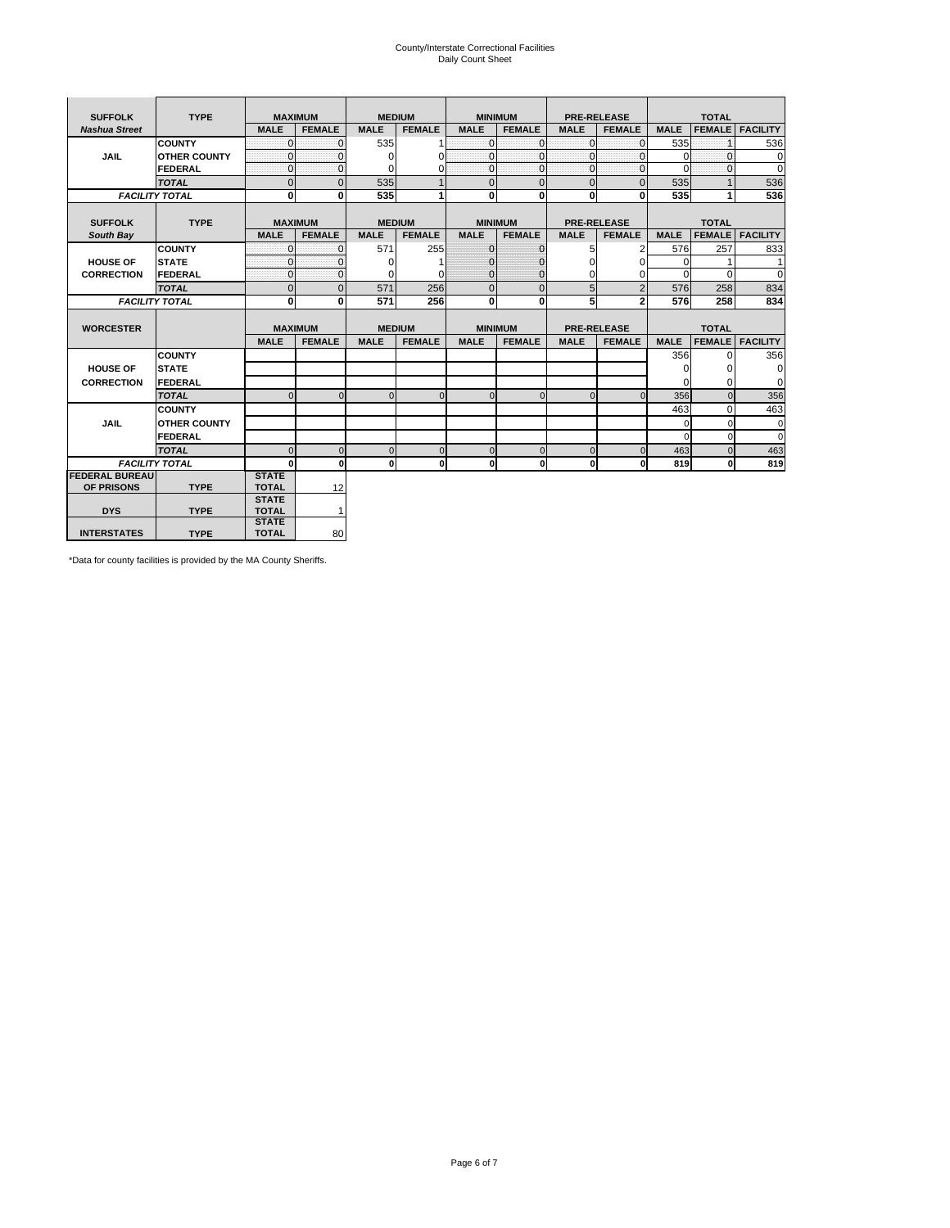# County/Interstate Correctional Facilities Daily Count Sheet

| <b>SUFFOLK</b>        | <b>TYPE</b>           | <b>MAXIMUM</b>               |               |             | <b>MEDIUM</b> | <b>MINIMUM</b> |               |                | <b>PRE-RELEASE</b> |             | <b>TOTAL</b>  |                 |
|-----------------------|-----------------------|------------------------------|---------------|-------------|---------------|----------------|---------------|----------------|--------------------|-------------|---------------|-----------------|
| <b>Nashua Street</b>  |                       | <b>MALE</b>                  | <b>FEMALE</b> | <b>MALE</b> | <b>FEMALE</b> | <b>MALE</b>    | <b>FEMALE</b> | <b>MALE</b>    | <b>FEMALE</b>      | <b>MALE</b> | <b>FEMALE</b> | <b>FACILITY</b> |
|                       | <b>COUNTY</b>         | $\Omega$                     | $\mathbf 0$   | 535         |               | $\overline{0}$ | $\mathbf{0}$  | $\mathbf{0}$   | $\Omega$           | 535         |               | 536             |
| <b>JAIL</b>           | <b>OTHER COUNTY</b>   | $\Omega$                     | $\Omega$      | $\Omega$    | 0             | $\mathbf{0}$   | $\mathbf{0}$  | $\mathbf{0}$   | $\Omega$           | $\Omega$    | $\Omega$      | 0               |
|                       | <b>FEDERAL</b>        | $\Omega$                     | $\Omega$      | $\Omega$    | 0             | $\mathbf{0}$   | $\mathbf{0}$  | $\Omega$       | $\Omega$           | $\Omega$    | $\Omega$      | $\Omega$        |
|                       | <b>TOTAL</b>          | $\overline{0}$               | $\mathbf 0$   | 535         |               | $\mathbf 0$    | $\mathbf{0}$  | $\mathbf{0}$   | $\mathbf 0$        | 535         |               | 536             |
|                       | <b>FACILITY TOTAL</b> | $\mathbf{0}$                 | 0             | 535         |               | $\mathbf{0}$   | $\bf{0}$      | $\mathbf{0}$   | 0                  | 535         |               | 536             |
|                       |                       |                              |               |             |               |                |               |                |                    |             |               |                 |
| <b>SUFFOLK</b>        | <b>TYPE</b>           | <b>MAXIMUM</b>               |               |             | <b>MEDIUM</b> | <b>MINIMUM</b> |               |                | <b>PRE-RELEASE</b> |             | <b>TOTAL</b>  |                 |
| South Bay             |                       | <b>MALE</b>                  | <b>FEMALE</b> | <b>MALE</b> | <b>FEMALE</b> | <b>MALE</b>    | <b>FEMALE</b> | <b>MALE</b>    | <b>FEMALE</b>      | <b>MALE</b> | <b>FEMALE</b> | <b>FACILITY</b> |
|                       | <b>COUNTY</b>         | $\Omega$                     | $\Omega$      | 571         | 255           | $\mathbf{0}$   | $\mathbf{0}$  | 5              | 2                  | 576         | 257           | 833             |
| <b>HOUSE OF</b>       | <b>STATE</b>          | $\Omega$                     | $\Omega$      | $\Omega$    |               | $\mathbf{0}$   | $\Omega$      | 0              | $\Omega$           | $\Omega$    |               | 1               |
| <b>CORRECTION</b>     | FEDERAL               | $\mathbf{0}$                 | $\mathbf{0}$  | $\Omega$    | 0             | $\mathbf{0}$   | $\mathbf{0}$  | 0              | $\mathbf 0$        | $\Omega$    | $\Omega$      | $\mathbf 0$     |
|                       | <b>TOTAL</b>          | $\mathbf{0}$                 | $\mathbf 0$   | 571         | 256           | $\overline{0}$ | $\mathbf{0}$  | 5              | $\overline{2}$     | 576         | 258           | 834             |
|                       | <b>FACILITY TOTAL</b> | 0                            | $\mathbf{0}$  | 571         | 256           | $\mathbf{0}$   | $\bf{0}$      | 5              | $\overline{2}$     | 576         | 258           | 834             |
|                       |                       |                              |               |             |               |                |               |                |                    |             |               |                 |
| <b>WORCESTER</b>      |                       | <b>MAXIMUM</b>               |               |             | <b>MEDIUM</b> | <b>MINIMUM</b> |               |                | <b>PRE-RELEASE</b> |             | <b>TOTAL</b>  |                 |
|                       |                       | <b>MALE</b>                  | <b>FEMALE</b> | <b>MALE</b> | <b>FEMALE</b> | <b>MALE</b>    | <b>FEMALE</b> | <b>MALE</b>    | <b>FEMALE</b>      | <b>MALE</b> | <b>FEMALE</b> | <b>FACILITY</b> |
|                       | <b>COUNTY</b>         |                              |               |             |               |                |               |                |                    | 356         | 0             | 356             |
| <b>HOUSE OF</b>       | <b>STATE</b>          |                              |               |             |               |                |               |                |                    | 0           | $\Omega$      | 0               |
| <b>CORRECTION</b>     | FEDERAL               |                              |               |             |               |                |               |                |                    | $\Omega$    | $\Omega$      | 0               |
|                       | <b>TOTAL</b>          | $\cap$                       | $\Omega$      | $\Omega$    | $\Omega$      | $\Omega$       | $\Omega$      | $\Omega$       | $\Omega$           | 356         | $\Omega$      | 356             |
|                       | <b>COUNTY</b>         |                              |               |             |               |                |               |                |                    | 463         | $\Omega$      | 463             |
| <b>JAIL</b>           | <b>OTHER COUNTY</b>   |                              |               |             |               |                |               |                |                    | $\Omega$    | $\Omega$      | $\mathbf 0$     |
|                       | FEDERAL               |                              |               |             |               |                |               |                |                    | $\Omega$    | $\Omega$      | $\Omega$        |
|                       | <b>TOTAL</b>          | U                            | $\Omega$      | $\Omega$    | $\mathbf 0$   | $\mathbf{0}$   | $\Omega$      | $\overline{0}$ | $\Omega$           | 463         | $\Omega$      | 463             |
|                       | <b>FACILITY TOTAL</b> | $\Omega$                     | $\mathbf 0$   | $\bf{0}$    | 0             | $\mathbf{0}$   | $\mathbf{0}$  | $\mathbf{0}$   | οl                 | 819         | 0             | 819             |
| <b>FEDERAL BUREAU</b> |                       | <b>STATE</b>                 |               |             |               |                |               |                |                    |             |               |                 |
| OF PRISONS            | <b>TYPE</b>           | <b>TOTAL</b>                 | 12            |             |               |                |               |                |                    |             |               |                 |
| <b>DYS</b>            | <b>TYPE</b>           | <b>STATE</b>                 | $\mathbf{1}$  |             |               |                |               |                |                    |             |               |                 |
|                       |                       | <b>TOTAL</b><br><b>STATE</b> |               |             |               |                |               |                |                    |             |               |                 |
| <b>INTERSTATES</b>    | <b>TYPE</b>           | <b>TOTAL</b>                 | 80            |             |               |                |               |                |                    |             |               |                 |

\*Data for county facilities is provided by the MA County Sheriffs.